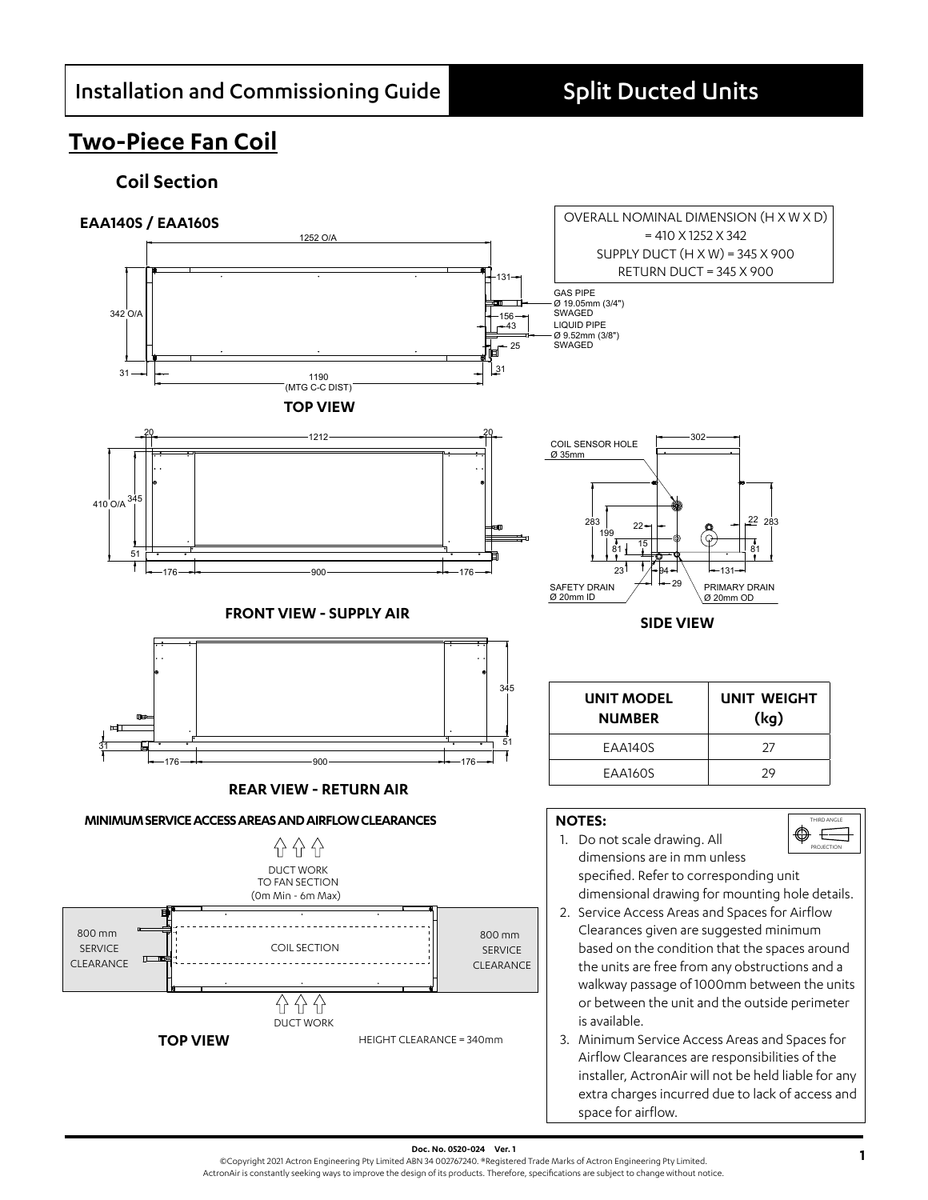## **Two-Piece Fan Coil**

### **Coil Section**



**Doc. No. 0520-024 Ver. 1**<br>©Copyright 2021 Actron Engineering Pty Limited ABN 34 002767240. ®Registered Trade Marks of Actron Engineering Pty Limited. ActronAir is constantly seeking ways to improve the design of its products. Therefore, specifications are subject to change without notice.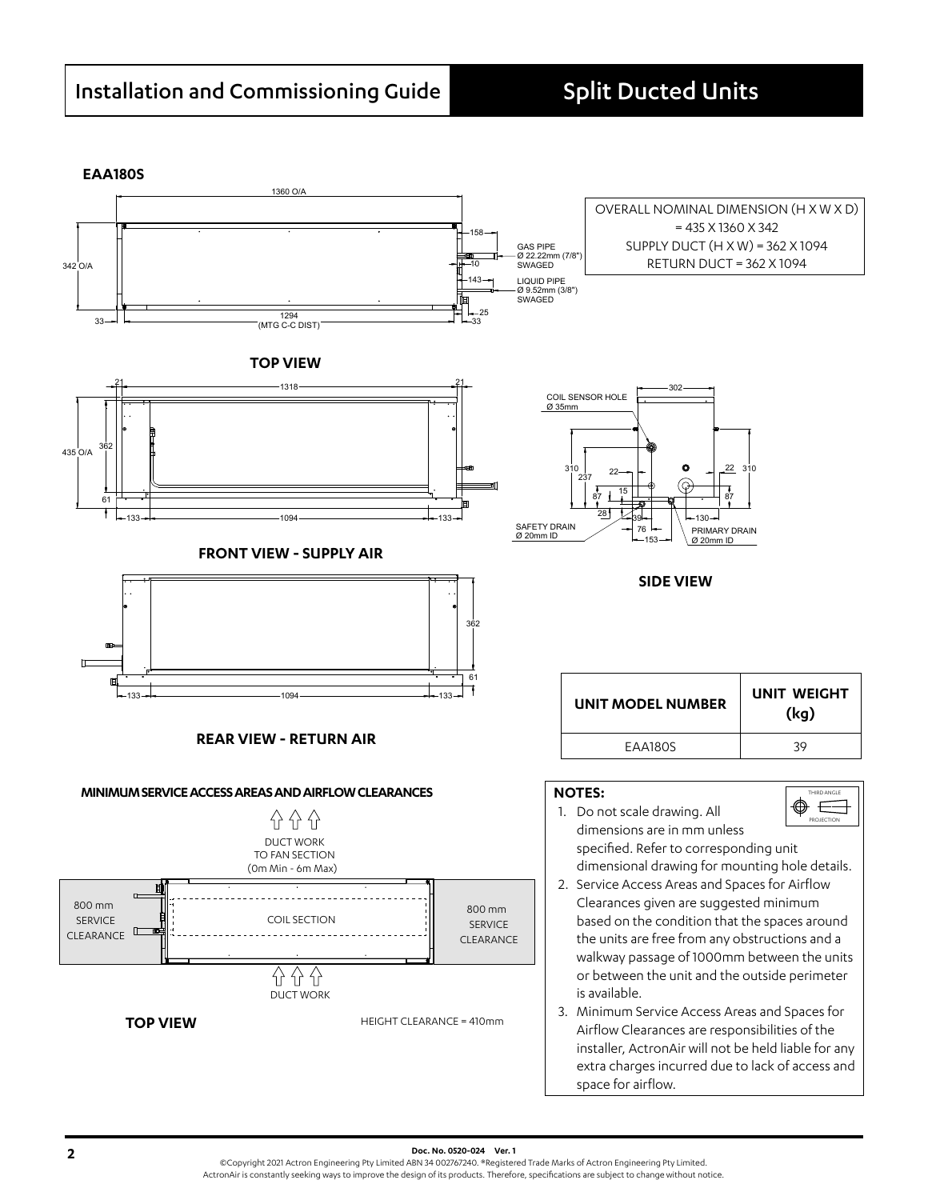**EAA180S**

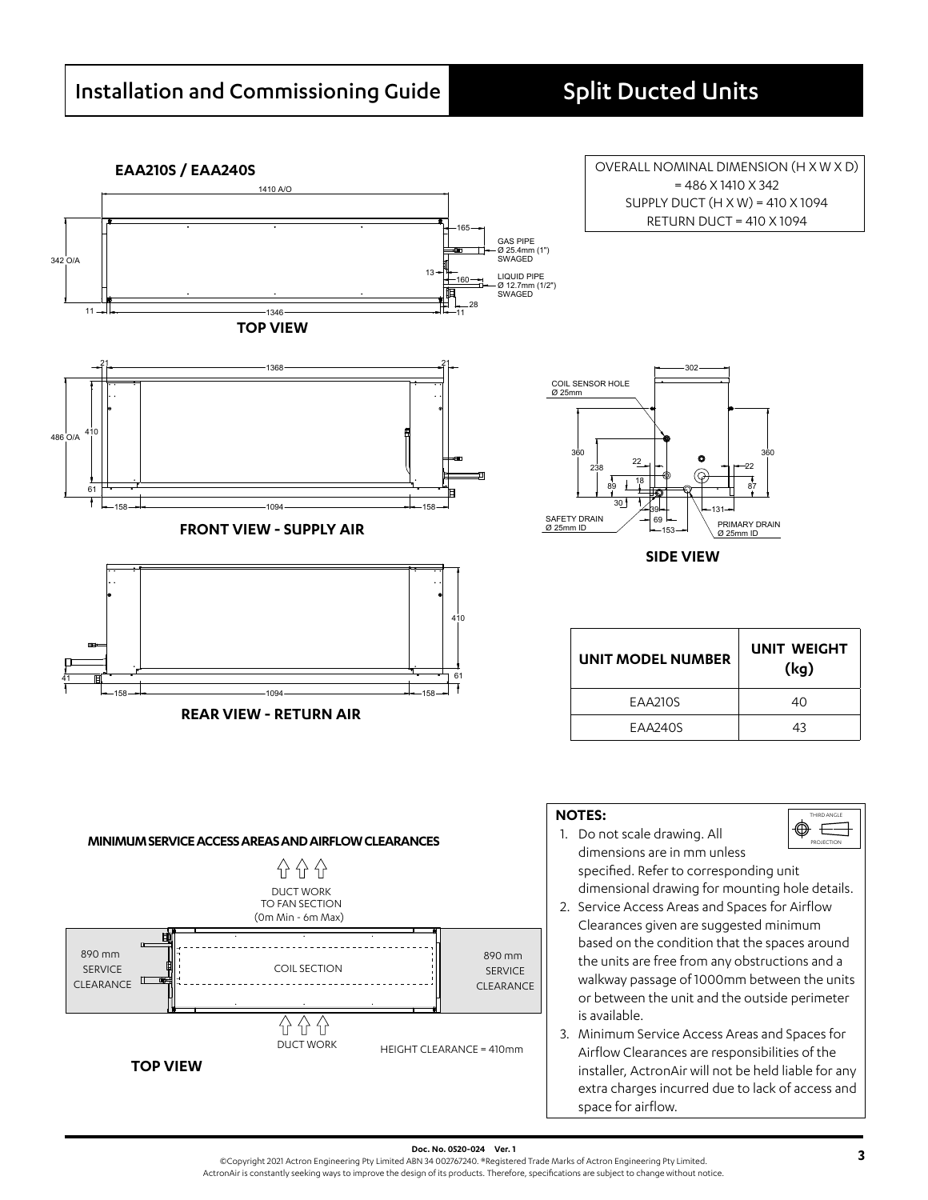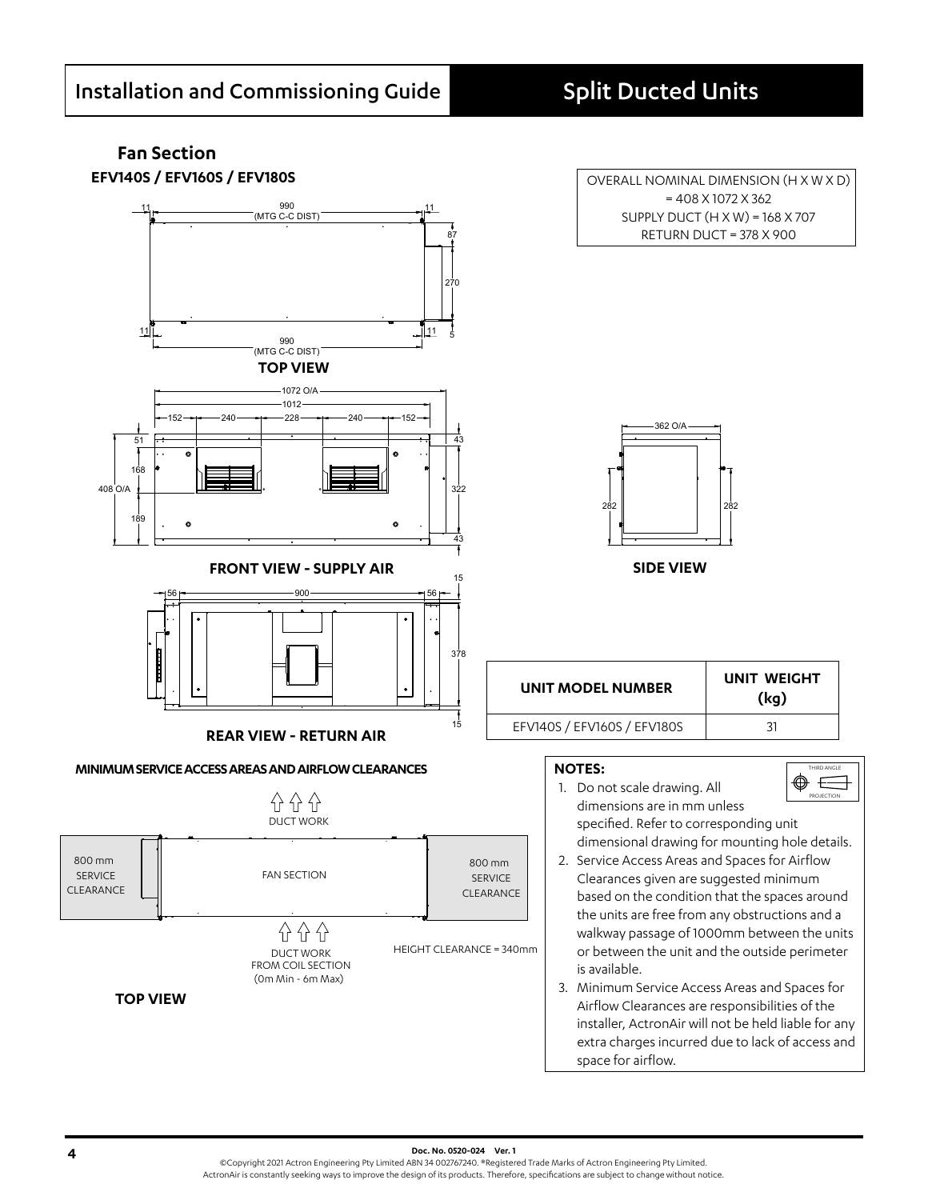# **Fan Section**



**EFV140S / EFV160S / EFV180S COVERALL NOMINAL DIMENSION (H X W X D)** = 408 X 1072 X 362 SUPPLY DUCT (H X W) = 168 X 707 RETURN DUCT = 378 X 900



**SIDE VIEW**

**UNIT MODEL NUMBER UNIT WEIGHT**

**(kg)**

THIRD ANGLE PROJECTION

EFV140S / EFV160S / EFV180S 31

#### **NOTES:**

- $\circledcirc =$ 1. Do not scale drawing. All dimensions are in mm unless specified. Refer to corresponding unit dimensional drawing for mounting hole details.
- 2. Service Access Areas and Spaces for Airflow Clearances given are suggested minimum based on the condition that the spaces around the units are free from any obstructions and a walkway passage of 1000mm between the units or between the unit and the outside perimeter is available.
- 3. Minimum Service Access Areas and Spaces for Airflow Clearances are responsibilities of the installer, ActronAir will not be held liable for any extra charges incurred due to lack of access and space for airflow.